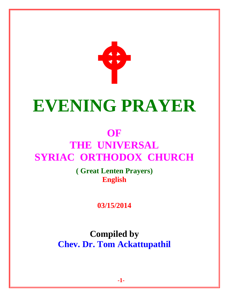

# **EVENING PRAYER**

# **OF THE UNIVERSAL SYRIAC ORTHODOX CHURCH**

**( Great Lenten Prayers) English** 

**03/15/2014**

**Compiled by Chev. Dr. Tom Ackattupathil**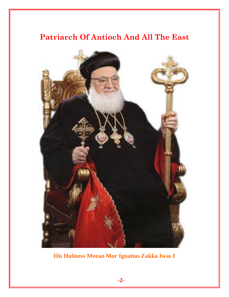# **Patriarch Of Antioch And All The East**



**His Holiness Moran Mor Ignatius Zakka Iwas I**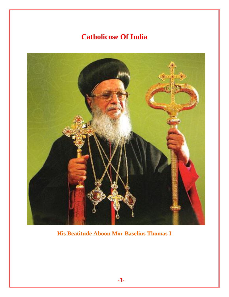# **Catholicose Of India**



**His Beatitude Aboon Mor Baselius Thomas I**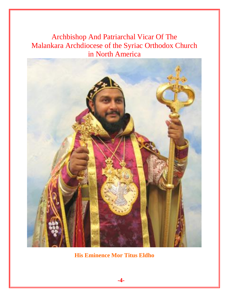Archbishop And Patriarchal Vicar Of The Malankara Archdiocese of the Syriac Orthodox Church in North America



**His Eminence Mor Titus Eldho**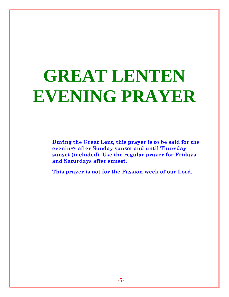# **GREAT LENTEN EVENING PRAYER**

**During the Great Lent, this prayer is to be said for the evenings after Sunday sunset and until Thursday sunset (included). Use the regular prayer for Fridays and Saturdays after sunset.** 

**This prayer is not for the Passion week of our Lord.**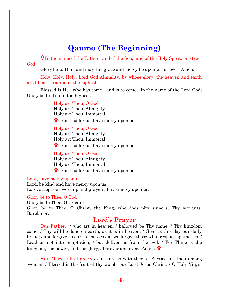# **Qaumo (The Beginning)**

In the name of the Father, and of the Son, and of the Holy Spirit, one true God:

Glory be to Him; and may His grace and mercy be upon us for ever. Amen.

Holy, Holy, Holy, Lord God Almighty, by whose glory, the heaven and earth are filled Hosanna in the highest.

Blessed is He, who has come, and is to come, in the name of the Lord God; Glory be to Him in the highest.

> Holy art Thou, O God! Holy art Thou, Almighty Holy art Thou, Immortal **T** Crucified for us, have mercy upon us.

> Holy art Thou, O God! Holy art Thou, Almighty Holy art Thou, Immortal **T** Crucified for us, have mercy upon us.

> Holy art Thou, O God! Holy art Thou, Almighty Holy art Thou, Immortal **T** Crucified for us, have mercy upon us.

Lord, have mercy upon us.

Lord, be kind and have mercy upon us. Lord, accept our worship and prayers, have mercy upon us.

#### Glory be to Thee, O God

Glory be to Thee, O Creator, Glory be to Thee, O Christ, the King, who does pity sinners, Thy servants. Barekmor.

#### **Lord's Prayer**

Our Father, / who art in heaven, / hallowed be Thy name; / Thy kingdom come; / Thy will be done on earth, as it is in heaven. / Give us this day our daily bread; / and forgive us our trespasses / as we forgive those who trespass against us. / Lead us not into temptation; / but deliver us from the evil. / For Thine is the kingdom, the power, and the glory, *f* for ever and ever. Amen.  $\mathbf{\hat{\mathbf{V}}}$ 

Hail Mary, full of grace**,** / our Lord is with thee. / Blessed art thou among women. / Blessed is the fruit of thy womb, our Lord Jesus Christ. / O Holy Virgin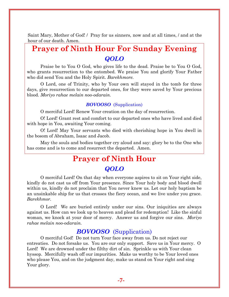Saint Mary, Mother of God! / Pray for us sinners, now and at all times, / and at the hour of our death. Amen.

# **Prayer of Ninth Hour For Sunday Evening** *QOLO*

Praise be to You O God, who gives life to the dead. Praise be to You O God, who grants resurrection to the entombed. We praise You and glorify Your Father who did send You and the Holy Spirit. *Barekhmore.*

O Lord, one of Trinity, who by Your own will stayed in the tomb for three days, give resurrection to our departed ones, for they were saved by Your precious blood. *Moriyo rahae melain noo-odarain.*

#### *BOVOOSO* (Supplication)

O merciful Lord! Renew Your creation on the day of resurrection.

O! Lord! Grant rest and comfort to our departed ones who have lived and died with hope in You, awaiting Your coming.

O! Lord! May Your servants who died with cherishing hope in You dwell in the bosom of Abraham, Isaac and Jacob.

May the souls and bodies together cry aloud and say: glory be to the One who has come and is to come and resurrect the departed. Amen.

# **Prayer of Ninth Hour**

# *QOLO*

O merciful Lord! On that day when everyone aspires to sit on Your right side, kindly do not cast us off from Your presence. Since Your holy body and blood dwell within us, kindly do not proclaim that You never knew us. Let our holy baptism be an unsinkable ship for us that crosses the fiery ocean, and we live under you grace. *Barekhmor.*

O Lord! We are buried entirely under our sins. Our iniquities are always against us. How can we look up to heaven and plead for redemption! Like the sinful woman, we knock at your door of mercy. Answer us and forgive our sins. *Moriyo rahae melain noo-odarain.*

## *BOVOOSO* (Supplication)

O merciful God! Do not turn Your face away from us. Do not reject our entreaties. Do not forsake us. You are our only support. Save us in Your mercy. O Lord! We are drowned under the filthy dirt of sin. Sprinkle us with Your clean hyssop. Mercifully wash off our impurities. Make us worthy to be Your loved ones who please You, and on the judgment day, make us stand on Your right and sing Your glory.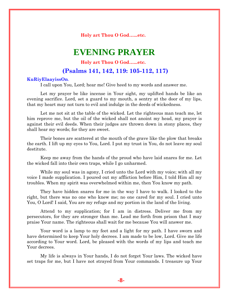**Holy art Thou O God…...etc.**

# **EVENING PRAYER**

#### **Holy art Thou O God…...etc.**

#### **(Psalms 141, 142, 119: 105-112, 117)**

#### **KuRiyElaayissOn**.

I call upon You, Lord; hear me! Give heed to my words and answer me.

Let my prayer be like incense in Your sight, my uplifted hands be like an evening sacrifice. Lord, set a guard to my mouth, a sentry at the door of my lips, that my heart may not turn to evil and indulge in the deeds of wickedness.

Let me not sit at the table of the wicked. Let the righteous man teach me, let him reprove me, but the oil of the wicked shall not anoint my head, my prayer is against their evil deeds. When their judges are thrown down in stony places, they shall hear my words; for they are sweet.

Their bones are scattered at the mouth of the grave like the plow that breaks the earth. I lift up my eyes to You, Lord. I put my trust in You, do not leave my soul destitute.

Keep me away from the hands of the proud who have laid snares for me. Let the wicked fall into their own traps, while I go unharmed.

While my soul was in agony, I cried unto the Lord with my voice; with all my voice I made supplication. I poured out my affliction before Him, I told Him all my troubles. When my spirit was overwhelmed within me, then You know my path.

They have hidden snares for me in the way I have to walk. I looked to the right, but there was no one who knew me; no one cared for my soul. I cried unto You, O Lord! I said, You are my refuge and my portion in the land of the living.

Attend to my supplication; for I am in distress. Deliver me from my persecutors, for they are stronger than me. Lead me forth from prison that I may praise Your name. The righteous shall wait for me because You will answer me.

Your word is a lamp to my feet and a light for my path. I have sworn and have determined to keep Your holy decrees. I am made to be low, Lord. Give me life according to Your word. Lord, be pleased with the words of my lips and teach me Your decrees.

My life is always in Your hands, I do not forget Your laws. The wicked have set traps for me, but I have not strayed from Your commands. I treasure up Your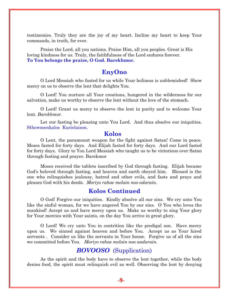testimonies. Truly they are the joy of my heart. Incline my heart to keep Your commands, in truth, for ever.

Praise the Lord, all you nations. Praise Him, all you peoples. Great is His loving kindness for us. Truly, the faithfulness of the Lord endures forever. **To You belongs the praise, O God. Barekhmor.**

#### **EnyOno**

O Lord Messiah who fasted for us while Your holiness is unblemished! Show mercy on us to observe the lent that delights You.

O Lord! You nurture all Your creations, hungered in the wilderness for our salvation, make us worthy to observe the lent without the love of the stomach.

O Lord! Grant us mercy to observe the lent in purity and to welcome Your lent. *Barekhmor.*

Let our fasting be pleasing unto You Lord. And thus absolve our iniquities. Sthowmenkalos Kurielaison.

#### **Kolos**

O Lent, the paramount weapon for the fight against Satan! Come in peace. Moses fasted for forty days. And Elijah fasted for forty days. And our Lord fasted for forty days. Glory to You Lord Messiah who taught us to be victorious over Satan through fasting and prayer. Barekmor

Moses received the tablets inscribed by God through fasting. Elijah became God's beloved through fasting, and heaven and earth obeyed him. Blessed is the one who relinquishes jealousy, hatred and other evils, and fasts and prays and pleases God with his deeds. *Moriyo rahae melain noo-odarain.*

## **Kolos Continued**

O God! Forgive our iniquities. Kindly absolve all our sins. We cry unto You like the sinful woman, for we have angered You by our sins. O You who loves the mankind! Accept us and have mercy upon us. Make us worthy to sing Your glory for Your mercies with Your saints, on the day You arrive in great glory.

O Lord! We cry unto You in contrition like the prodigal son. Have mercy upon us. We sinned against heaven and before You. Accept us as Your hired servants . Consider us like the servants in Your house. Forgive us of all the sins we committed before You. *Moriyo rahae melain noo aadarain.*

## *BOVOOSO* (Supplication)

As the spirit and the body have to observe the lent together, while the body denies food, the spirit must relinquish evil as well. Observing the lent by denying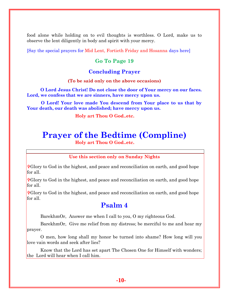food alone while holding on to evil thoughts is worthless. O Lord, make us to observe the lent diligently in body and spirit with your mercy.

[Say the special prayers for Mid Lent, Fortieth Friday and Hosanna days here]

## **Go To Page 19**

#### **Concluding Prayer**

#### **(To be said only on the above occasions)**

**O Lord Jesus Christ! Do not close the door of Your mercy on our faces. Lord, we confess that we are sinners, have mercy upon us.**

**O Lord! Your love made You descend from Your place to us that by Your death, our death was abolished; have mercy upon us.**

 **Holy art Thou O God..etc.**

# **Prayer of the Bedtime (Compline)**

 **Holy art Thou O God..etc.**

**Use this section only on Sunday Nights**

Glory to God in the highest, and peace and reconciliation on earth, and good hope for all.

Glory to God in the highest, and peace and reconciliation on earth, and good hope for all.

**F**Glory to God in the highest, and peace and reconciliation on earth, and good hope for all.

# **Psalm 4**

BarekhmOr, Answer me when I call to you, O my righteous God.

BarekhmOr, Give me relief from my distress; be merciful to me and hear my prayer.

O men, how long shall my honor be turned into shame? How long will you love vain words and seek after lies?

Know that the Lord has set apart The Chosen One for Himself with wonders; the Lord will hear when I call him.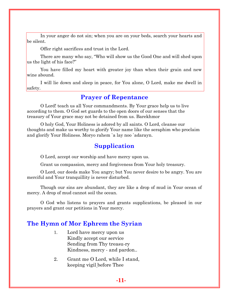In your anger do not sin; when you are on your beds, search your hearts and be silent.

Offer right sacrifices and trust in the Lord.

There are many who say, "Who will show us the Good One and will shed upon us the light of his face?"

You have filled my heart with greater joy than when their grain and new wine abound.

I will lie down and sleep in peace, for You alone, O Lord, make me dwell in safety.

## **Prayer of Repentance**

O Lord! teach us all Your commandments. By Your grace help us to live according to them. O God set guards to the open doors of our senses that the treasury of Your grace may not be detained from us. Barekhmor

O holy God, Your Holiness is adored by all saints. O Lord, cleanse our thoughts and make us worthy to glorify Your name like the seraphim who proclaim and glorify Your Holiness. Moryo rahem `a lay noo `adarayn.

# **Supplication**

O Lord, accept our worship and have mercy upon us.

Grant us compassion, mercy and forgiveness from Your holy treasury.

O Lord, our deeds make You angry; but You never desire to be angry. You are merciful and Your tranquillity is never disturbed.

Though our sins are abundant, they are like a drop of mud in Your ocean of mercy. A drop of mud cannot soil the ocean.

O God who listens to prayers and grants supplications, be pleased in our prayers and grant our petitions in Your mercy.

# **The Hymn of Mor Ephrem the Syrian**

- 1. Lord have mercy upon us Kindly accept our service Sending from Thy treasu-ry Kindness, mercy - and pardon..
- 2. Grant me O Lord, while I stand, keeping vigil before Thee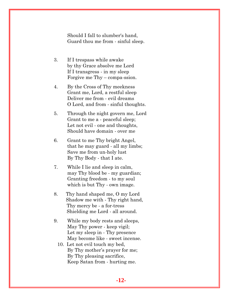Should I fall to slumber's hand, Guard thou me from - sinful sleep.

- 3. If I trespass while awake by thy Grace absolve me Lord If I transgress - in my sleep Forgive me Thy – compa-ssion.
- 4. By the Cross of Thy meekness Grant me, Lord, a restful sleep Deliver me from - evil dreams O Lord, and from - sinful thoughts.
- 5. Through the night govern me, Lord Grant to me a - peaceful sleep; Let not evil - one and thoughts, Should have domain - over me
- 6. Grant to me Thy bright Angel, that he may guard - all my limbs; Save me from un-holy lust By Thy Body - that I ate.
- 7. While I lie and sleep in calm, may Thy blood be - my guardian; Granting freedom - to my soul which is but Thy - own image.
- 8. Thy hand shaped me, O my Lord Shadow me with - Thy right hand, Thy mercy be - a for-tress Shielding me Lord - all around.
- 9. While my body rests and sleeps, May Thy power - keep vigil; Let my sleep in - Thy presence May become like - sweet incense.
	- 10. Let not evil touch my bed, By Thy mother's prayer for me; By Thy pleasing sacrifice, Keep Satan from - hurting me.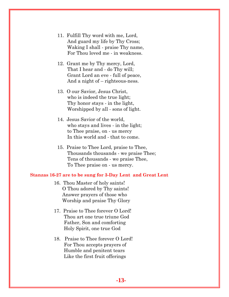- 11. Fulfill Thy word with me, Lord, And guard my life by Thy Cross; Waking I shall - praise Thy name, For Thou loved me - in weakness.
- 12. Grant me by Thy mercy, Lord, That I hear and - do Thy will; Grant Lord an eve - full of peace, And a night of – righteous-ness.
- 13. O our Savior, Jesus Christ, who is indeed the true light; Thy honor stays - in the light, Worshipped by all - sons of light.
- 14. Jesus Savior of the world, who stays and lives - in the light; to Thee praise, on - us mercy In this world and - that to come.
- 15. Praise to Thee Lord, praise to Thee, Thousands thousands - we praise Thee; Tens of thousands - we praise Thee, To Thee praise on - us mercy.

#### **Stanzas 16-27 are to be sung for 3-Day Lent and Great Lent**

- 16. Thou Master of holy saints! O Thou adored by Thy saints! Answer prayers of those who Worship and praise Thy Glory
- 17. Praise to Thee forever O Lord! Thou art one true triune God Father, Son and comforting Holy Spirit, one true God
- 18. Praise to Thee forever O Lord! For Thou accepts prayers of Humble and penitent tears Like the first fruit offerings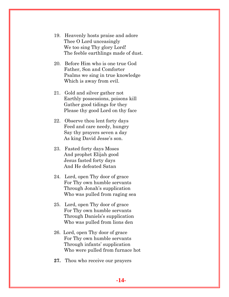- 19. Heavenly hosts praise and adore Thee O Lord unceasingly We too sing Thy glory Lord! The feeble earthlings made of dust.
- 20. Before Him who is one true God Father, Son and Comforter Psalms we sing in true knowledge Which is away from evil.
- 21. Gold and silver gather not Earthly possessions, poisons kill Gather good tidings for they Please thy good Lord on thy face
- 22. Observe thou lent forty days Feed and care needy, hungry Say thy prayers seven a day As king David Jesse's son.
- 23. Fasted forty days Moses And prophet Elijah good Jesus fasted forty days And He defeated Satan
- 24. Lord, open Thy door of grace For Thy own humble servants Through Jonah's supplication Who was pulled from raging sea
- 25. Lord, open Thy door of grace For Thy own humble servants Through Daniels's supplication Who was pulled from lions den
- 26. Lord, open Thy door of grace For Thy own humble servants Through infants' supplication Who were pulled from furnace hot
- **27.** Thou who receive our prayers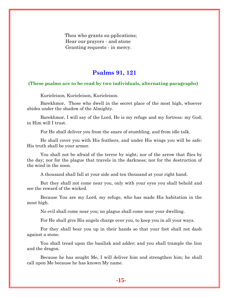Thou who grants su-pplications; Hear our prayers - and atone Granting requests - in mercy.

## **Psalms 91, 121**

#### **(These psalms are to be read by two individuals, alternating paragraphs)**

Kurieleison, Kurieleison, Kurieleison.

Barekhmor, Those who dwell in the secret place of the most high, whoever abides under the shadow of the Almighty.

Barekhmor, I will say of the Lord, He is my refuge and my fortress: my God; in Him will I trust.

For He shall deliver you from the snare of stumbling, and from idle talk.

He shall cover you with His feathers, and under His wings you will be safe: His truth shall be your armor.

You shall not be afraid of the terror by night; nor of the arrow that flies by the day; nor for the plague that travels in the darkness; nor for the destruction of the wind in the noon.

A thousand shall fall at your side and ten thousand at your right hand.

But they shall not come near you, only with your eyes you shall behold and see the reward of the wicked.

Because You are my Lord, my refuge, who has made His habitation in the most high.

No evil shall come near you; no plague shall come near your dwelling.

For He shall give His angels charge over you, to keep you in all your ways.

For they shall bear you up in their hands so that your foot shall not dash against a stone.

You shall tread upon the basilisk and adder; and you shall trample the lion and the dragon.

Because he has sought Me, I will deliver him and strengthen him; he shall call upon Me because he has known My name.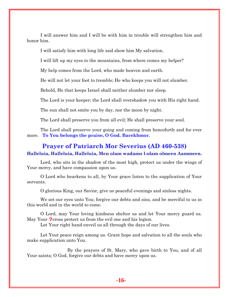I will answer him and I will be with him in trouble will strengthen him and honor him.

I will satisfy him with long life and show him My salvation.

I will lift up my eyes to the mountains, from where comes my helper?

My help comes from the Lord, who made heaven and earth.

He will not let your foot to tremble; He who keeps you will not slumber.

Behold, He that keeps Israel shall neither slumber nor sleep.

The Lord is your keeper; the Lord shall overshadow you with His right hand.

The sun shall not smite you by day, nor the moon by night.

The Lord shall preserve you from all evil; He shall preserve your soul.

The Lord shall preserve your going and coming from henceforth and for ever more. **To You belongs the praise, O God. Barekhmor.**

## **Prayer of Patriarch Mor Severius (AD 460-538) Halleluia, Halleluia, Halleluia, Men olam wadamo l-olam olmeen Aammeen.**

Lord, who sits in the shadow of the most high, protect us under the wings of Your mercy, and have compassion upon us.

O Lord who hearkens to all, by Your grace listen to the supplication of Your servants.

O glorious King, our Savior, give us peaceful evenings and sinless nights.

We set our eyes unto You; forgive our debts and sins, and be merciful to us in this world and in the world to come.

O Lord, may Your loving kindness shelter us and let Your mercy guard us. May Your  $\mathbf{\hat{r}}$  cross protect us from the evil one and his legion.

Let Your right hand enveil us all through the days of our lives.

Let Your peace reign among us. Grant hope and salvation to all the souls who make supplication unto You.

By the prayers of St. Mary, who gave birth to You, and of all Your saints; O God, forgive our debts and have mercy upon us.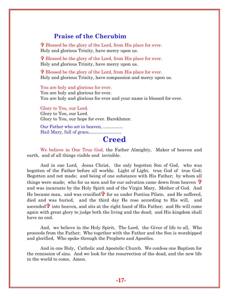# **Praise of the Cherubim**

 Blessed be the glory of the Lord, from His place for ever. Holy and glorious Trinity, have mercy upon us.

 Blessed be the glory of the Lord, from His place for ever. Holy and glorious Trinity, have mercy upon us.

 Blessed be the glory of the Lord, from His place for ever. Holy and glorious Trinity, have compassion and mercy upon us.

You are holy and glorious for ever. You are holy and glorious for ever. You are holy and glorious for ever and your name is blessed for ever.

Glory to You, our Lord. Glory to You, our Lord. Glory to You, our hope for ever. Barekhmor.

Our Father who art in heaven, ………….. Hail Mary, full of grace,…………………

# **Creed**

We believe in One True God, the Father Almighty, Maker of heaven and earth, and of all things visible and invisible.

And in one Lord, Jesus Christ, the only begotten Son of God, who was begotten of the Father before all worlds; Light of Light, true God of true God; Begotten and not made; and being of one substance with His Father; by whom all things were made; who for us men and for our salvation came down from heaven  $\ddot{\mathbf{r}}$ and was incarnate by the Holy Spirit and of the Virgin Mary, Mother of God. And He became man, and was crucified  $\mathbf{\hat{r}}$  for us under Pontius Pilate, and He suffered, died and was buried, and the third day He rose according to His will, and ascended  $\ddot{\mathbf{r}}$  into heaven, and sits at the right hand of His Father; and He will come again with great glory to judge both the living and the dead; and His kingdom shall have no end.

And, we believe in the Holy Spirit, The Lord, the Giver of life to all, Who proceeds from the Father; Who together with the Father and the Son is worshipped and glorified, Who spoke through the Prophets and Apostles.

And in one Holy, Catholic and Apostolic Church. We confess one Baptism for the remission of sins. And we look for the resurrection of the dead, and the new life in the world to come, Amen.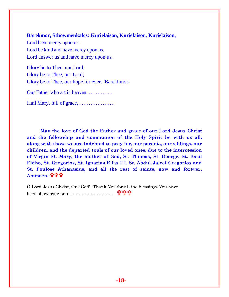#### **Barekmor, Sthowmenkalos: Kurielaison, Kurielaison, Kurielaison***,*

Lord have mercy upon us. Lord be kind and have mercy upon us. Lord answer us and have mercy upon us.

Glory be to Thee, our Lord; Glory be to Thee, our Lord; Glory be to Thee, our hope for ever. Barekhmor.

Our Father who art in heaven, …………..

Hail Mary, full of grace,…………………

**May the love of God the Father and grace of our Lord Jesus Christ and the fellowship and communion of the Holy Spirit be with us all; along with those we are indebted to pray for, our parents, our siblings, our children, and the departed souls of our loved ones, due to the intercession of Virgin St. Mary, the mother of God, St. Thomas, St. George, St. Basil Eldho, St. Gregorios, St. Ignatius Elias III, St. Abdul Jaleel Gregorios and St. Poulose Athanasius, and all the rest of saints, now and forever, Ammeen.**

O Lord Jesus Christ, Our God! Thank You for all the blessings You have been showering on us.………………………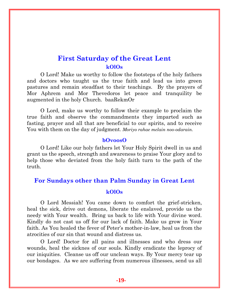# **First Saturday of the Great Lent kOlOs**

O Lord! Make us worthy to follow the footsteps of the holy fathers and doctors who taught us the true faith and lead us into green pastures and remain steadfast to their teachings. By the prayers of Mor Aphrem and Mor Thevedoros let peace and tranquility be augmented in the holy Church. baaRekmOr

O Lord, make us worthy to follow their example to proclaim the true faith and observe the commandments they imparted such as fasting, prayer and all that are beneficial to our spirits, and to receive You with them on the day of judgment. *Moriyo rahae melain noo-odarain.*

#### **bOvoosO**

O Lord! Like our holy fathers let Your Holy Spirit dwell in us and grant us the speech, strength and awareness to praise Your glory and to help those who deviated from the holy faith turn to the path of the truth.

# **For Sundays other than Palm Sunday in Great Lent**

#### **kOlOs**

O Lord Messiah! You came down to comfort the grief-stricken, heal the sick, drive out demons, liberate the enslaved, provide us the needy with Your wealth. Bring us back to life with Your divine word. Kindly do not cast us off for our lack of faith. Make us grow in Your faith. As You healed the fever of Peter's mother-in-law, heal us from the atrocities of our sin that wound and distress us.

O Lord! Doctor for all pains and illnesses and who dress our wounds, heal the sicknes of our souls. Kindly eradicate the leprocy of our iniquities. Cleanse us off our unclean ways. By Your mercy tear up our bondages. As we are suffering from numerous illnesses, send us all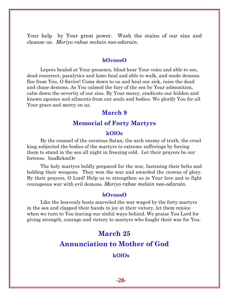Your help by Your great power. Wash the stains of our sins and cleanse us. *Moriyo rahae melain noo-odarain.*

#### **bOvoosO**

Lepers healed at Your presence, blind hear Your voice and able to see, dead resurrect, paralytics and lame heal and able to walk, and made demons flee from You, O Savior! Come down to us and heal our sick, raise the dead and chase demons. As You calmed the fury of the sea by Your admonition, calm down the severity of our sins. By Your mercy, eradicate our hidden and known agonies and ailments from our souls and bodies. We glorify You for all Your grace and mercy on us.

## **March 9**

## **Memorial of Forty Martyrs**

#### **kOlOs**

By the counsel of the covetous Satan, the arch enemy of truth, the cruel king subjected the bodies of the martyrs to extreme sufferings by forcing them to stand in the sea all night in freezing cold. Let their prayers be our fortress. baaRekmOr

The holy martyrs boldly prepared for the war, fastening their belts and holding their weapons. They won the war and awarded the crowns of glory. By their prayers, O Lord! Help us to strengthen us in Your love and to fight courageous war with evil demons. *Moriyo rahae melain noo-odarain.*

#### **bOvoosO**

Like the heavenly hosts marveled the war waged by the forty martyrs in the sea and clapped their hands in joy at their victory, let them rejoice when we turn to You leaving our sinful ways behind. We praise You Lord for giving strength, courage and victory to martyrs who fought their war for You.

# **March 25**

# **Annunciation to Mother of God**

## **kOlOs**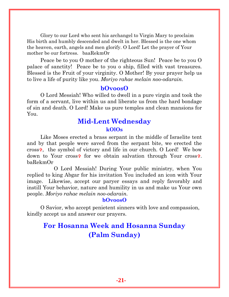Glory to our Lord who sent his archangel to Virgin Mary to proclaim His birth and humbly descended and dwelt in her. Blessed is the one whom the heaven, earth, angels and men glorify. O Lord! Let the prayer of Your mother be our fortress. baaRekmOr

Peace be to you O mother of the righteous Sun! Peace be to you O palace of sanctity! Peace be to you o ship, filled with vast treasures. Blessed is the Fruit of your virginity. O Mother! By your prayer help us to live a life of purity like you. *Moriyo rahae melain noo-odarain.*

#### **bOvoosO**

O Lord Messiah! Who willed to dwell in a pure virgin and took the form of a servant, live within us and liberate us from the hard bondage of sin and death. O Lord! Make us pure temples and clean mansions for You.

# **Mid-Lent Wednesday**

## **kOlOs**

Like Moses erected a brass serpant in the middle of Israelite tent and by that people were saved from the serpant bite, we erected the cross<sup> $\phi$ </sup>, the symbol of victory and life in our church. O Lord! We bow down to Your cross<sup> $\phi$ </sup> for we obtain salvation through Your cross<sup> $\phi$ </sup>. baRekmOr

O Lord Messiah! During Your public ministry, when You replied to king Abgar for his invitation You included an icon with Your image. Likewise, accept our paryer essays and reply favorably and instill Your behavior, nature and humility in us and make us Your own people. *Moriyo rahae melain noo-odarain.*

#### **bOvoosO**

O Savior, who accept penietent sinners with love and compassion, kindly accept us and answer our prayers.

# **For Hosanna Week and Hosanna Sunday (Palm Sunday)**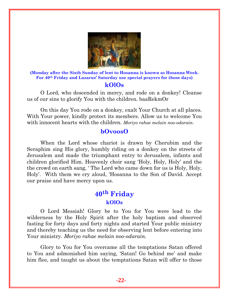

**(Monday after the Sixth Sunday of lent to Hosanna is known as Hosanna Week. For 40th Friday and Lazarus' Saturday use special prayers for those days)**

#### **kOlOs**

O Lord, who descended in mercy, and rode on a donkey! Cleanse us of our sins to glorify You with the children. baaRekmOr

On this day You rode on a donkey, exalt Your Church at all places. With Your power, kindly protect its members. Allow us to welcome You with innocent hearts with the children. *Moriyo rahae melain noo-odarain.*

# **bOvoosO**

When the Lord whose chariot is drawn by Cherubim and the Seraphim sing His glory, humbly riding on a donkey on the streets of Jerusalem and made the triumphant entry to Jerusalem, infants and children glorified Him. Heavenly choir sang 'Holy, Holy, Holy' and the the crowd on earth sang, ' The Lord who came down for us is Holy, Holy, Holy'. With them we cry aloud, 'Hosanna to the Son of David. Accept our praise and have mercy upon us.

# **40th Friday kOlOs**

O Lord Messiah! Glory be to You for You were lead to the wilderness by the Holy Spirit after the holy baptism and observed fasting for forty days and forty nights and started Your public ministry and thereby teaching us the need for observing lent before entering into Your ministry. *Moriyo rahae melain noo-odarain.*

Glory to You for You overcame all the temptations Satan offered to You and admonished him saying, 'Satan! Go behind me' and make him flee, and taught us about the temptations Satan will offer to those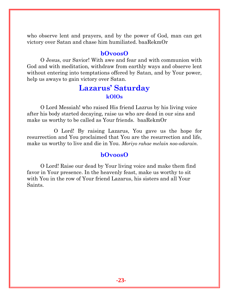who observe lent and prayers, and by the power of God, man can get victory over Satan and chase him humiliated. baaRekmOr

## **bOvoosO**

O Jesus, our Savior! With awe and fear and with communion with God and with meditation, withdraw from earthly ways and observe lent without entering into temptations offered by Satan, and by Your power, help us aways to gain victory over Satan.

# **Lazarus' Saturday kOlOs**

O Lord Messiah! who raised His friend Lazrus by his living voice after his body started decaying, raise us who are dead in our sins and make us worthy to be called as Your friends. baaRekmOr

O Lord! By raising Lazarus, You gave us the hope for resurrection and You proclaimed that You are the resurrection and life, make us worthy to live and die in You. *Moriyo rahae melain noo-odarain.*

# **bOvoosO**

O Lord! Raise our dead by Your living voice and make them find favor in Your presence. In the heavenly feast, make us worthy to sit with You in the row of Your friend Lazarus, his sisters and all Your Saints.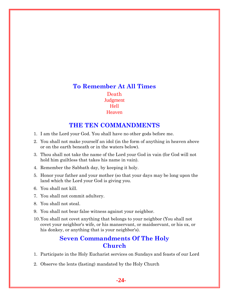# **To Remember At All Times** Death **Judgment** Hell Heaven

# **THE TEN COMMANDMENTS**

- 1. I am the Lord your God. You shall have no other gods before me.
- 2. You shall not make yourself an idol (in the form of anything in heaven above or on the earth beneath or in the waters below).
- 3. Thou shall not take the name of the Lord your God in vain (for God will not hold him guiltless that takes his name in vain).
- 4. Remember the Sabbath day, by keeping it holy.
- 5. Honor your father and your mother (so that your days may be long upon the land which the Lord your God is giving you.
- 6. You shall not kill.
- 7. You shall not commit adultery.
- 8. You shall not steal.
- 9. You shall not bear false witness against your neighbor.
- 10.You shall not covet anything that belongs to your neighbor (You shall not covet your neighbor's wife, or his manservant, or maidservant, or his ox, or his donkey, or anything that is your neighbor's).

## **Seven Commandments Of The Holy Church**

- 1. Participate in the Holy Eucharist services on Sundays and feasts of our Lord
- 2. Observe the lents (fasting) mandated by the Holy Church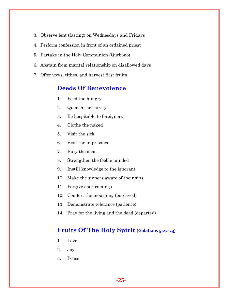- 3. Observe lent (fasting) on Wednesdays and Fridays
- 4. Perform confession in front of an ordained priest
- 5. Partake in the Holy Communion (Qurbono)
- 6. Abstain from marital relationship on disallowed days
- 7. Offer vows, tithes, and harvest first fruits

# **Deeds Of Benevolence**

- 1. Feed the hungry
- 2. Quench the thirsty
- 3. Be hospitable to foreigners
- 4. Clothe the naked
- 5. Visit the sick
- 6. Visit the imprisoned
- 7. Bury the dead
- 8. Strengthen the feeble minded
- 9. Instill knowledge to the ignorant
- 10. Make the sinners aware of their sins
- 11. Forgive shortcomings
- 12. Comfort the mourning (bereaved)
- 13. Demonstrate tolerance (patience)
- 14. Pray for the living and the dead (departed)

# **Fruits Of The Holy Spirit (Galatians 5:22-23)**

- 1. Love
- 2. Joy
- 3. Peace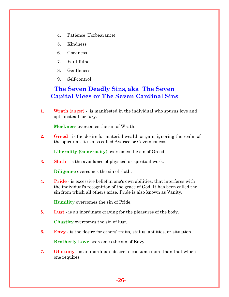- 4. Patience (Forbearance)
- 5. Kindness
- 6. Goodness
- 7. Faithfulness
- 8. Gentleness
- 9. Self-control

# **The Seven Deadly Sins, aka The Seven Capital Vices or The Seven Cardinal Sins**

**1. Wrath** (anger) - is manifested in the individual who spurns love and opts instead for fury.

**Meekness** overcomes the sin of Wrath.

**2. Greed** - is the desire for material wealth or gain, ignoring the realm of the spiritual. It is also called Avarice or Covetousness.

**Liberality (Generosity**) overcomes the sin of Greed.

**3. Sloth** - is the avoidance of physical or spiritual work.

**Diligence** overcomes the sin of sloth.

**4. Pride** - is excessive belief in one's own abilities, that interferes with the individual's recognition of the grace of God. It has been called the sin from which all others arise. Pride is also known as Vanity.

**Humility** overcomes the sin of Pride.

**5. Lust** - is an inordinate craving for the pleasures of the body.

**Chastity** overcomes the sin of lust.

**6. Envy** - is the desire for others' traits, status, abilities, or situation.

**Brotherly Love** overcomes the sin of Envy.

**7. Gluttony** - is an inordinate desire to consume more than that which one requires.